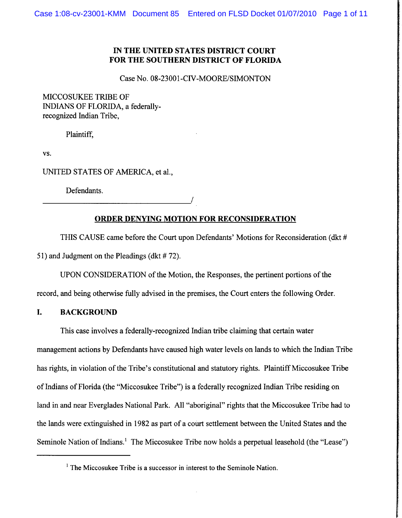# **IN THE UNITED STATES DISTRICT COURT FOR THE SOUTHERN DISTRICT OF FLORIDA**

Case No. 08-23001-CIV-MOORE/SIMONTON

MICCOSUKEE TRIBE OF INDIANS OF FLORIDA, a federallyrecognized Indian Tribe,

Plaintiff,

VS.

UNITED STATES OF AMERICA, et al.,

Defendants.

# **ORDER DENYING MOTION FOR RECONSIDERATION**

I

THIS CAUSE came before the Court upon Defendants' Motions for Reconsideration (dkt # **5** 1) and Judgment on the Pleadings (dkt # 72).

UPON CONSIDERATION of the Motion, the Responses, the pertinent portions of the

record, and being otherwise fully advised in the premises, the Court enters the following Order.

### **I. BACKGROUND**

This case involves a federally-recognized Indian tribe claiming that certain water management actions by Defendants have caused high water levels on lands to which the Indian Tribe has rights, in violation of the Tribe's constitutional and statutory rights. Plaintiff Miccosukee Tribe of Indians of Florida (the "Miccosukee Tribe") is a federally recognized Indian Tribe residing on land in and near Everglades National Park. All "aboriginal" rights that the Miccosukee Tribe had to the lands were extinguished in 1982 as part of a court settlement between the United States and the Seminole Nation of Indians.<sup>1</sup> The Miccosukee Tribe now holds a perpetual leasehold (the "Lease")

 $1$  The Miccosukee Tribe is a successor in interest to the Seminole Nation.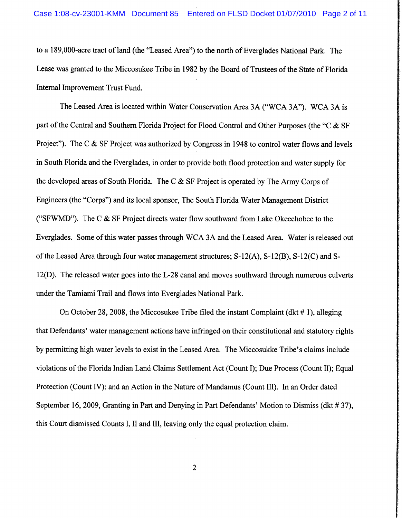to a 189,000-acre tract of land (the "Leased Area") to the north of Everglades National Park. The Lease was granted to the Miccosukee Tribe in 1982 by the Board of Trustees of the State of Florida Internal Improvement Trust Fund.

The Leased Area is located within Water Conservation Area 3A ("WCA 3A"). WCA 3A is part of the Central and Southern Florida Project for Flood Control and Other Purposes (the "C & SF Project"). The C & SF Project was authorized by Congress in 1948 to control water flows and levels in South Florida and the Everglades, in order to provide both flood protection and water supply for the developed areas of South Florida. The C & SF Project is operated by The Army Corps of Engineers (the "Corps") and its local sponsor, The South Florida Water Management District ("SFWMD"). The C  $\&$  SF Project directs water flow southward from Lake Okeechobee to the Everglades. Some of this water passes through WCA 3A and the Leased Area. Water is released out of the Leased Area through four water management structures; S- 12(A), S- 12(B), S- 12(C) and S-12(D). The released water goes into the L-28 canal and moves southward through numerous culverts under the Tamiami Trail and flows into Everglades National Park.

On October 28, 2008, the Miccosukee Tribe filed the instant Complaint (dkt  $# 1$ ), alleging that Defendants' water management actions have infringed on their constitutional and statutory rights by permitting high water levels to exist in the Leased Area. The Miccosukke Tribe's claims include violations of the Florida Indian Land Claims Settlement Act (Count I); Due Process (Count 11); Equal Protection (Count IV); and an Action in the Nature of Mandamus (Count 111). In an Order dated September 16,2009, Granting in Part and Denying in Part Defendants' Motion to Dismiss (dkt # 37), this Court dismissed Counts I, I1 and 111, leaving only the equal protection claim.

 $\overline{2}$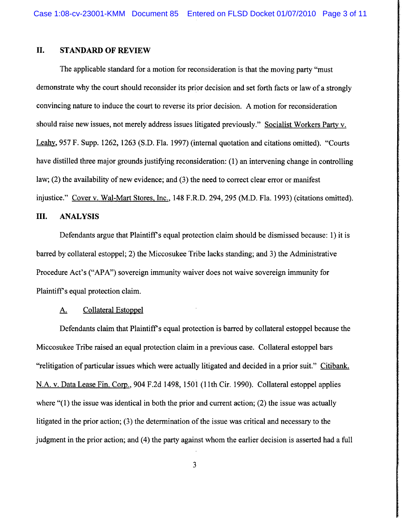# **11. STANDARD OF REVIEW**

The applicable standard for a motion for reconsideration is that the moving party "must demonstrate why the court should reconsider its prior decision and set forth facts or law of a strongly convincing nature to induce the court to reverse its prior decision. A motion for reconsideration should raise new issues, not merely address issues litigated previously." Socialist Workers Party v. Leahv, 957 F. Supp. 1262, 1263 (S.D. Fla. 1997) (internal quotation and citations omitted). "Courts have distilled three major grounds justifying reconsideration: (1) an intervening change in controlling law; (2) the availability of new evidence; and (3) the need to correct clear error or manifest injustice." Cover v. Wal-Mart Stores, Inc., 148 F.R.D. 294, 295 (M.D. Fla. 1993) (citations omitted).

# **111. ANALYSIS**

Defendants argue that Plaintiff's equal protection claim should be dismissed because: 1) it is barred by collateral estoppel; 2) the Miccosukee Tribe lacks standing; and 3) the Administrative Procedure Act's ("APA") sovereign immunity waiver does not waive sovereign immunity for Plaintiff's equal protection claim.

#### A. Collateral Estoppel

Defendants claim that Plaintiff's equal protection is barred by collateral estoppel because the Miccosukee Tribe raised an equal protection claim in a previous case. Collateral estoppel bars "relitigation of particular issues which were actually litigated and decided in a prior suit." Citibank. N.A. v. Data Lease Fin. Corp., 904 F.2d 1498, 1501 (11th Cir. 1990). Collateral estoppel applies where "(1) the issue was identical in both the prior and current action; (2) the issue was actually litigated in the prior action; (3) the determination of the issue was critical and necessary to the judgment in the prior action; and (4) the party against whom the earlier decision is asserted had a full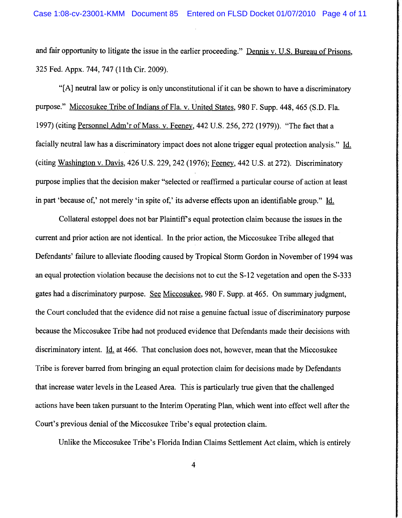and fair opportunity to litigate the issue in the earlier proceeding." Dennis v. U.S. Bureau of Prisons, 325 Fed. Appx. 744,747 (1 lth Cir. 2009).

"[A] neutral law or policy is only unconstitutional if it can be shown to have a discriminatory purpose." Miccosukee Tribe of Indians of Fla. v. United States, 980 F. Supp. 448,465 (S.D. Fla. 1997) (citing Personnel Adm'r of Mass. v. Feeney, 442 U.S. 256, 272 (1979)). "The fact that a facially neutral law has a discriminatory impact does not alone trigger equal protection analysis." Id. (citing Washington v. Davis,  $426$  U.S. 229, 242 (1976); Feeney, 442 U.S. at 272). Discriminatory purpose implies that the decision maker "selected or reaffirmed a particular course of action at least in part 'because of,' not merely 'in spite of,' its adverse effects upon an identifiable group." Id.

Collateral estoppel does not bar Plaintiff's equal protection claim because the issues in the current and prior action are not identical. In the prior action, the Miccosukee Tribe alleged that Defendants' failure to alleviate flooding caused by Tropical Storm Gordon in November of 1994 was an equal protection violation because the decisions not to cut the S-12 vegetation and open the S-333 gates had a discriminatory purpose. *See* Miccosukee, 980 F. Supp. at 465. On summary judgment, the Court concluded that the evidence did not raise a genuine factual issue of discriminatory purpose because the Miccosukee Tribe had not produced evidence that Defendants made their decisions with discriminatory intent. Id. at 466. That conclusion does not, however, mean that the Miccosukee Tribe is forever barred from bringing an equal protection claim for decisions made by Defendants that increase water levels in the Leased Area. This is particularly true given that the challenged actions have been taken pursuant to the Interim Operating Plan, which went into effect well after the Court's previous denial of the Miccosukee Tribe's equal protection claim.

Unlike the Miccosukee Tribe's Florida Indian Claims Settlement Act claim, which is entirely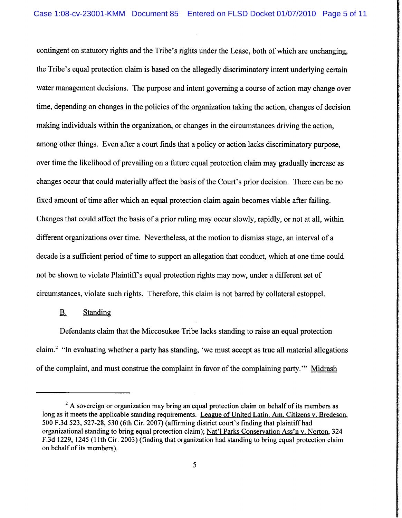contingent on statutory rights and the Tribe's rights under the Lease, both of which are unchanging, the Tribe's equal protection claim is based on the allegedly discriminatory intent underlying certain water management decisions. The purpose and intent governing a course of action may change over time, depending on changes in the policies of the organization taking the action, changes of decision making individuals within the organization, or changes in the circumstances driving the action, among other things. Even after a court finds that a policy or action lacks discriminatory purpose, over time the likelihood of prevailing on a future equal protection claim may gradually increase as changes occur that could materially affect the basis of the Court's prior decision. There can be no fixed amount of time after which an equal protection claim again becomes viable after failing. Changes that could affect the basis of a prior ruling may occur slowly, rapidly, or not at all, within different organizations over time. Nevertheless, at the motion to dismiss stage, an interval of a decade is a sufficient period of time to support an allegation that conduct, which at one time could not be shown to violate Plaintiff's equal protection rights may now, under a different set of circumstances, violate such rights. Therefore, this claim is not barred by collateral estoppel.

#### B. Standing

Defendants claim that the Miccosukee Tribe lacks standing to raise an equal protection claim.2 "In evaluating whether a party has standing, 'we must accept as true all material allegations of the complaint, and must construe the complaint in favor of the complaining party."' Midrash

<sup>&</sup>lt;sup>2</sup> A sovereign or organization may bring an equal protection claim on behalf of its members as **long as it meets the applicable standing requirements. League of United Latin. Am. Citizens v. Bredeson, 500 F.3d 523, 527-28, 530 (6th Cir. 2007) (affirming district court's finding that plaintiff had organizational standing to bring equal protection claim); Nat'l Parks Conservation Ass'n v. Norton, 324 F.3d 1229, 1245 (1 lth Cir. 2003) (finding that organization had standing to bring equal protection claim on behalf of its members).**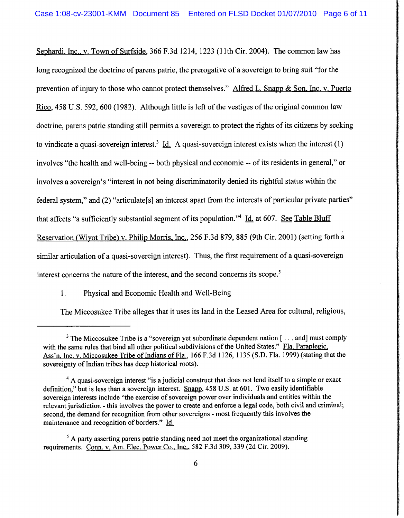Sephardi, Inc., v. Town of Surfside, 366 F.3d 1214, 1223 (11th Cir. 2004). The common law has long recognized the doctrine of parens patrie, the prerogative of a sovereign to bring suit "for the prevention of injury to those who cannot protect themselves." Alfred L. Snapp  $\&$  Son, Inc. v. Puerto Rico, 458 U.S. 592, 600 (1982). Although little is left of the vestiges of the original common law doctrine, parens patrie standing still permits a sovereign to protect the rights of its citizens by seeking to vindicate a quasi-sovereign interest.<sup>3</sup> Id. A quasi-sovereign interest exists when the interest (1) involves "the health and well-being -- both physical and economic -- of its residents in general," or involves a sovereign's "interest in not being discriminatorily denied its rightful status within the federal system," and (2) "articulate<sup>[s]</sup> an interest apart from the interests of particular private parties" that affects "a sufficiently substantial segment of its population."<sup>4</sup> Id. at 607. See Table Bluff Reservation (Wiyot Tribe) v. Philip Morris, Inc., 256 F.3d 879, 885 (9th Cir. 2001) (setting forth a similar articulation of a quasi-sovereign interest). Thus, the first requirement of a quasi-sovereign interest concerns the nature of the interest, and the second concerns its scope.<sup>5</sup>

1. Physical and Economic Health and Well-Being

The Miccosukee Tribe alleges that it uses its land in the Leased Area for cultural, religious,

<sup>&</sup>lt;sup>3</sup> The Miccosukee Tribe is a "sovereign yet subordinate dependent nation [ $\ldots$  and] must comply with the same rules that bind all other political subdivisions of the United States." Fla. Paraplegic, Ass'n, Inc. v. Miccosukee Tribe of Indians of Fla., 166 F.3d 1126, 1135 (S.D. Fla. 1999) (stating that the sovereignty of Indian tribes has deep historical roots).

<sup>&</sup>lt;sup>4</sup> A quasi-sovereign interest "is a judicial construct that does not lend itself to a simple or exact definition," but is less than a sovereign interest. Snapp, 458 U.S. at 601. Two easily identifiable sovereign interests include "the exercise of sovereign power over individuals and entities within the relevant jurisdiction - this involves the power to create and enforce a legal code, both civil and criminal; second, the demand for recognition from other sovereigns - most frequently this involves the maintenance and recognition of borders." Id.

 $<sup>5</sup>$  A party asserting parens patrie standing need not meet the organizational standing</sup> requirements. Conn. v. Am. Elec. Power Co.. Inc., 582 **F.3d** 309, 339 (2d Cir. 2009).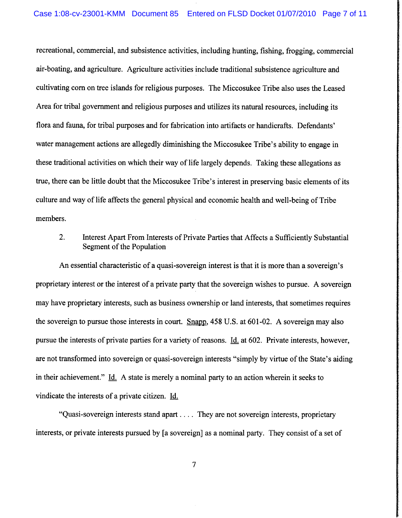recreational, commercial, and subsistence activities, including hunting, fishing, frogging, commercial air-boating, and agriculture. Agriculture activities include traditional subsistence agriculture and cultivating corn on tree islands for religious purposes. The Miccosukee Tribe also uses the Leased Area for tribal government and religious purposes and utilizes its natural resources, including its flora and fauna, for tribal purposes and for fabrication into artifacts or handicrafts. Defendants' water management actions are allegedly diminishing the Miccosukee Tribe's ability to engage in these traditional activities on which their way of life largely depends. Taking these allegations as true, there can be little doubt that the Miccosukee Tribe's interest in preserving basic elements of its culture and way of life affects the general physical and economic health and well-being of Tribe members.

2. Interest Apart From Interests of Private Parties that Affects a Sufficiently Substantial Segment of the Population

An essential characteristic of a quasi-sovereign interest is that it is more than a sovereign's proprietary interest or the interest of a private party that the sovereign wishes to pursue. A sovereign may have proprietary interests, such as business ownership or land interests, that sometimes requires the sovereign to pursue those interests in court. Snapp, 458 U.S. at 601-02. A sovereign may also pursue the interests of private parties for a variety of reasons. Id. at 602. Private interests, however, are not transformed into sovereign or quasi-sovereign interests "simply by virtue of the State's aiding in their achievement." Id. A state is merely a nominal party to an action wherein it seeks to vindicate the interests of a private citizen. Id.

"Quasi-sovereign interests stand apart . . . . They are not sovereign interests, proprietary interests, or private interests pursued by [a sovereign] as a nominal party. They consist of a set of

 $\overline{7}$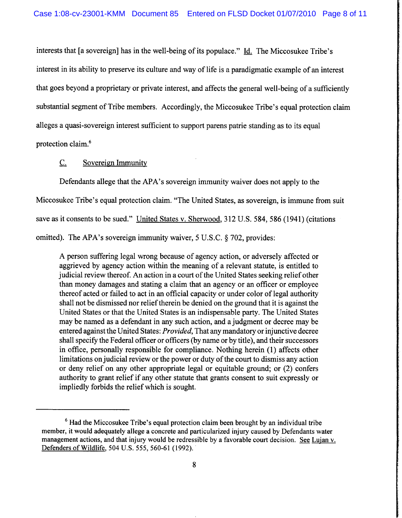interests that [a sovereign] has in the well-being of its populace." Id. The Miccosukee Tribe's interest in its ability to preserve its culture and way of life is a paradigmatic example of an interest that goes beyond a proprietary or private interest, and affects the general well-being of a sufficiently substantial segment of Tribe members. Accordingly, the Miccosukee Tribe's equal protection claim alleges a quasi-sovereign interest sufficient to support parens patrie standing as to its equal protection claim.6

C. Sovereign Immunity

Defendants allege that the APA's sovereign immunity waiver does not apply to the Miccosukee Tribe's equal protection claim. "The United States, as sovereign, is immune fiom suit save as it consents to be sued." United States v. Sherwood, 312 U.S. 584,586 (1941) (citations omitted). The APA's sovereign immunity waiver, 5 U.S.C. **8** 702, provides:

A person suffering legal wrong because of agency action, or adversely affected or aggrieved by agency action within the meaning of a relevant statute, is entitled to judicial review thereof. An action in a court of the United States seeking relief other than money damages and stating a claim that an agency or an officer or employee thereof acted or failed to act in an official capacity or under color of legal authority shall not be dismissed nor relief therein be denied on the ground that it is against the United States or that the United States is an indispensable party. The United States may be named as a defendant in any such action, and a judgment or decree may be entered against the United States: Provided, That any mandatory or injunctive decree shall specify the Federal officer or officers (by name or by title), and their successors in office, personally responsible for compliance. Nothing herein (1) affects other limitations on judicial review or the power or duty of the court to dismiss any action or deny relief on any other appropriate legal or equitable ground; or (2) confers authority to grant relief if any other statute that grants consent to suit expressly or impliedly forbids the relief which is sought.

**Had the Miccosukee Tribe's equal protection claim been brought by an individual tribe member, it would adequately allege a concrete and particularized injury caused by Defendants water**  management actions, and that injury would be redressible by a favorable court decision. See Lujan v. **Defenders of Wildlife, 504 U.S. 555, 560-6 1** (1 **992).**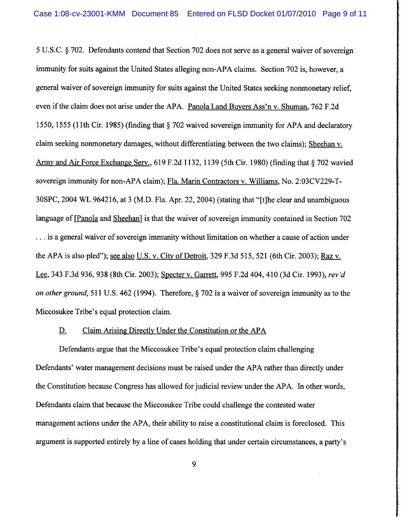5 U.S.C. *5* 702. Defendants contend that Section 702 does not serve as a general waiver of sovereign immunity for suits against the United States alleging non-APA claims. Section 702 is, however, a general waiver of sovereign immunity for suits against the United States seeking nonmonetary relief, even if the claim does not arise under the APA. Panola Land Buvers Ass'n v. Shuman, 762 F.2d 1550, 1555 (1 1 th Cir. 1985) (finding that *5* 702 waived sovereign immunity for APA and declaratory claim seeking nonmonetary damages, without differentiating between the two claims); Sheehan v. Army and Air Force Exchange Serv., 619 F.2d 1132, 1139 (5th Cir. 1980) (finding that  $\S$  702 wavied sovereign immunity for non-APA claim); Fla. Marin Contractors v. Williams, No. 2:03CV229-T-30SPC, 2004 WL 964216, at 3 (M.D. Fla. Apr. 22,2004) (stating that "[tlhe clear and unambiguous language of [Panola and Sheehan] is that the waiver of sovereign immunity contained in Section 702 . . . is a general waiver of sovereign immunity without limitation on whether a cause of action under the APA is also pled"); see also U.S. v. City of Detroit, 329 F.3d 515, 521 (6th Cir. 2003); **Raz** v. the APA is also pled"); <u>see also U.S. v. City of Detroit</u>, 329 F.3d 515, 521 (6th Cir. 2003); <u>Raz v.</u><br>Lee, 343 F.3d 936, 938 (8th Cir. 2003); <u>Specter v. Garrett</u>, 995 F.2d 404, 410 (3d Cir. 1993), *rev'd* on other ground, 51 1 U.S. 462 (1994). Therefore, *5* 702 is a waiver of sovereign immunity **as** to the Miccosukee Tribe's equal protection claim.

#### D. Claim Arising Directly Under the Constitution or the APA

Defendants argue that the Miccosukee Tribe's equal protection claim challenging Defendants' water management decisions must be raised under the APA rather than directly under the Constitution because Congress has allowed for judicial review under the APA. In other words, Defendants claim that because the Miccosukee Tribe could challenge the contested water management actions under the APA, their ability to raise a constitutional claim is foreclosed. This argument is supported entirely by a line of cases holding that under certain circumstances, a party's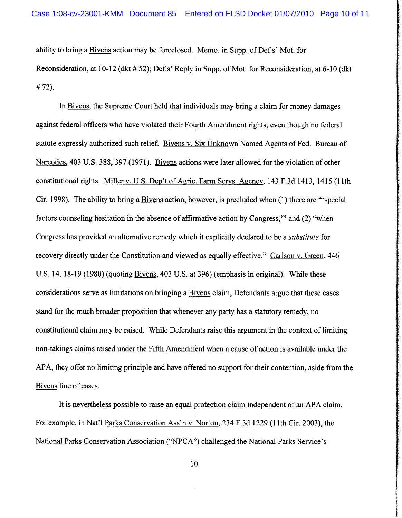ability to bring a Bivens action may be foreclosed. Memo. in Supp. of Def.s' Mot. for Reconsideration, at 10-12 (dkt # 52); Def.s' Reply in Supp. of Mot. for Reconsideration, at 6-10 (dkt) # 72).

In Bivens, the Supreme Court held that individuals may bring a claim for money damages against federal officers who have violated their Fourth Amendment rights, even though no federal statute expressly authorized such relief. Bivens v. Six Unknown Named Agents of Fed. Bureau of Narcotics, 403 U.S. 388,397 (1971). Bivens actions were later allowed for the violation of other constitutional rights. Miller v. U.S. Dep't of Agric. Farm Servs. Agency, 143 F.3d 1413, 1415 (11th Cir. 1998). The ability to bring a Bivens action, however, is precluded when (1) there are "'special factors counseling hesitation in the absence of affirmative action by Congress,"' and (2) "when Congress has provided an alternative remedy which it explicitly declared to be a *substitute* for recovery directly under the Constitution and viewed as equally effective." Carlson v. Green, 446 U.S. 14, 18-19 (1980) (quoting Bivens, 403 U.S. at 396) (emphasis in original). While these considerations serve as limitations on bringing a Bivens claim, Defendants argue that these cases stand for the much broader proposition that whenever any party has a statutory remedy, no constitutional claim may be raised. While Defendants raise this argument in the context of limiting non-takings claims raised under the Fifth Amendment when a cause of action is available under the APA, they offer no limiting principle and have offered no support for their contention, aside from the Bivens line of cases.

It is nevertheless possible to raise an equal protection claim independent of an APA claim. For example, in Nat'l Parks Conservation Ass'n v. Norton, 234 F.3d 1229 (1 lth Cir. 2003), the National Parks Conservation Association ("NPCA") challenged the National Parks Service's